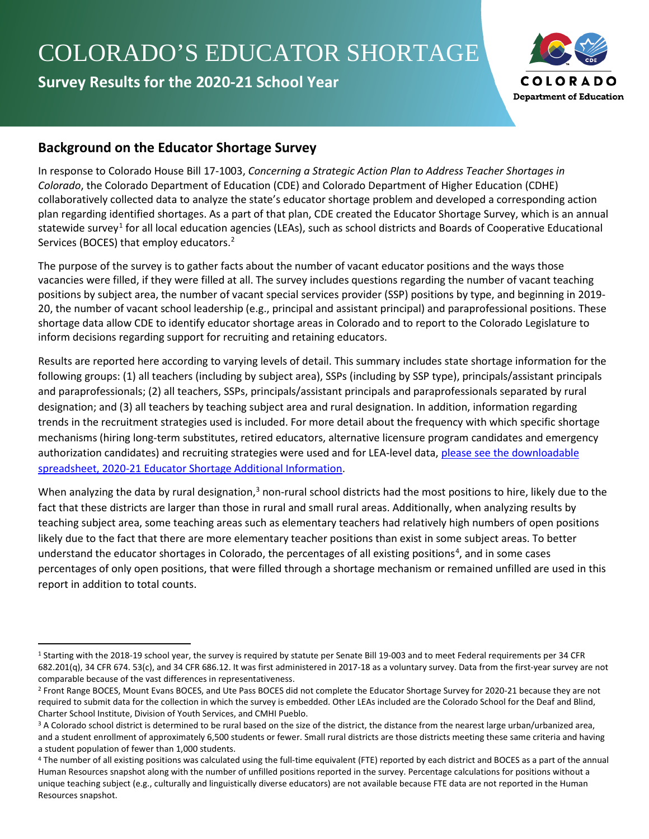# COLORADO'S EDUCATOR SHORTAGE

**Survey Results for the 2020-21 School Year**



## **Background on the Educator Shortage Survey**

In response to Colorado House Bill 17-1003, *Concerning a Strategic Action Plan to Address Teacher Shortages in Colorado*, the Colorado Department of Education (CDE) and Colorado Department of Higher Education (CDHE) collaboratively collected data to analyze the state's educator shortage problem and developed a corresponding action plan regarding identified shortages. As a part of that plan, CDE created the Educator Shortage Survey, which is an annual statewide survey<sup>[1](#page-0-0)</sup> for all local education agencies (LEAs), such as school districts and Boards of Cooperative Educational Services (BOCES) that employ educators.<sup>[2](#page-0-1)</sup>

The purpose of the survey is to gather facts about the number of vacant educator positions and the ways those vacancies were filled, if they were filled at all. The survey includes questions regarding the number of vacant teaching positions by subject area, the number of vacant special services provider (SSP) positions by type, and beginning in 2019- 20, the number of vacant school leadership (e.g., principal and assistant principal) and paraprofessional positions. These shortage data allow CDE to identify educator shortage areas in Colorado and to report to the Colorado Legislature to inform decisions regarding support for recruiting and retaining educators.

Results are reported here according to varying levels of detail. This summary includes state shortage information for the following groups: (1) all teachers (including by subject area), SSPs (including by SSP type), principals/assistant principals and paraprofessionals; (2) all teachers, SSPs, principals/assistant principals and paraprofessionals separated by rural designation; and (3) all teachers by teaching subject area and rural designation. In addition, information regarding trends in the recruitment strategies used is included. For more detail about the frequency with which specific shortage mechanisms (hiring long-term substitutes, retired educators, alternative licensure program candidates and emergency authorization candidates) and recruiting strategies were used and for LEA-level data, [please see the downloadable](https://www.cde.state.co.us/educatortalent/2020-21educatorshortagesurveyaddlinfo)  [spreadsheet, 2020-21 Educator Shortage Additional Information.](https://www.cde.state.co.us/educatortalent/2020-21educatorshortagesurveyaddlinfo)

When analyzing the data by rural designation,<sup>[3](#page-0-2)</sup> non-rural school districts had the most positions to hire, likely due to the fact that these districts are larger than those in rural and small rural areas. Additionally, when analyzing results by teaching subject area, some teaching areas such as elementary teachers had relatively high numbers of open positions likely due to the fact that there are more elementary teacher positions than exist in some subject areas. To better understand the educator shortages in Colorado, the percentages of all existing positions<sup>[4](#page-0-3)</sup>, and in some cases percentages of only open positions, that were filled through a shortage mechanism or remained unfilled are used in this report in addition to total counts.

<span id="page-0-0"></span><sup>1</sup> Starting with the 2018-19 school year, the survey is required by statute per Senate Bill 19-003 and to meet Federal requirements per 34 CFR 682.201(q), 34 CFR 674. 53(c), and 34 CFR 686.12. It was first administered in 2017-18 as a voluntary survey. Data from the first-year survey are not comparable because of the vast differences in representativeness.

<span id="page-0-1"></span><sup>&</sup>lt;sup>2</sup> Front Range BOCES, Mount Evans BOCES, and Ute Pass BOCES did not complete the Educator Shortage Survey for 2020-21 because they are not required to submit data for the collection in which the survey is embedded. Other LEAs included are the Colorado School for the Deaf and Blind,

<span id="page-0-2"></span>Charter School Institute, Division of Youth Services, and CMHI Pueblo.<br><sup>3</sup> A Colorado school district is determined to be rural based on the size of the district, the distance from the nearest large urban/urbanized area, and a student enrollment of approximately 6,500 students or fewer. Small rural districts are those districts meeting these same criteria and having a student population of fewer than 1,000 students.

<span id="page-0-3"></span><sup>4</sup> The number of all existing positions was calculated using the full-time equivalent (FTE) reported by each district and BOCES as a part of the annual Human Resources snapshot along with the number of unfilled positions reported in the survey. Percentage calculations for positions without a unique teaching subject (e.g., culturally and linguistically diverse educators) are not available because FTE data are not reported in the Human Resources snapshot.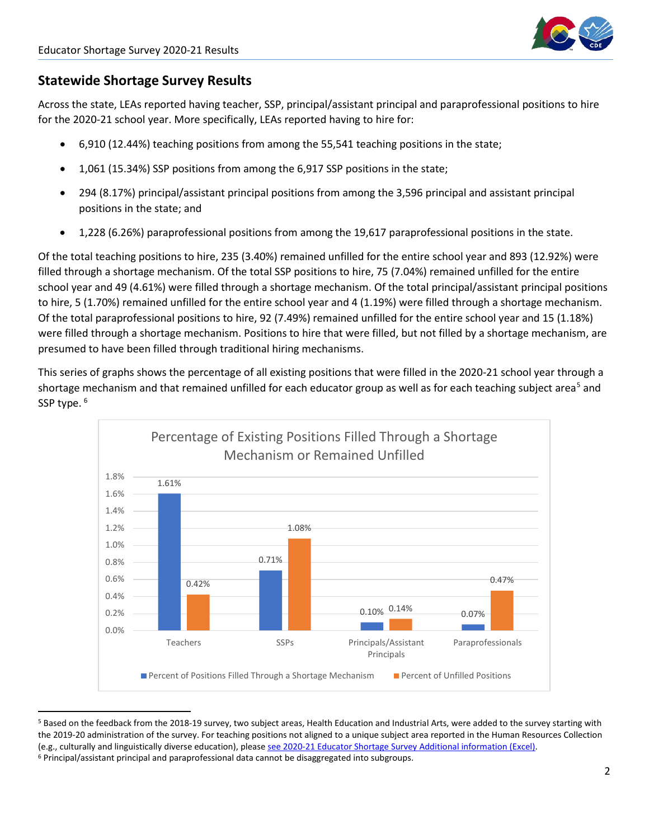

#### **Statewide Shortage Survey Results**

Across the state, LEAs reported having teacher, SSP, principal/assistant principal and paraprofessional positions to hire for the 2020-21 school year. More specifically, LEAs reported having to hire for:

- 6,910 (12.44%) teaching positions from among the 55,541 teaching positions in the state;
- 1,061 (15.34%) SSP positions from among the 6,917 SSP positions in the state;
- 294 (8.17%) principal/assistant principal positions from among the 3,596 principal and assistant principal positions in the state; and
- 1,228 (6.26%) paraprofessional positions from among the 19,617 paraprofessional positions in the state.

Of the total teaching positions to hire, 235 (3.40%) remained unfilled for the entire school year and 893 (12.92%) were filled through a shortage mechanism. Of the total SSP positions to hire, 75 (7.04%) remained unfilled for the entire school year and 49 (4.61%) were filled through a shortage mechanism. Of the total principal/assistant principal positions to hire, 5 (1.70%) remained unfilled for the entire school year and 4 (1.19%) were filled through a shortage mechanism. Of the total paraprofessional positions to hire, 92 (7.49%) remained unfilled for the entire school year and 15 (1.18%) were filled through a shortage mechanism. Positions to hire that were filled, but not filled by a shortage mechanism, are presumed to have been filled through traditional hiring mechanisms.

This series of graphs shows the percentage of all existing positions that were filled in the 2020-21 school year through a shortage mechanism and that remained unfilled for each educator group as well as for each teaching subject area<sup>[5](#page-1-0)</sup> and SSP type. <sup>[6](#page-1-1)</sup>



<span id="page-1-1"></span><span id="page-1-0"></span><sup>&</sup>lt;sup>5</sup> Based on the feedback from the 2018-19 survey, two subject areas, Health Education and Industrial Arts, were added to the survey starting with the 2019-20 administration of the survey. For teaching positions not aligned to a unique subject area reported in the Human Resources Collection (e.g., culturally and linguistically diverse education), pleas[e see 2020-21 Educator Shortage Survey Additional information \(Excel\).](https://www.cde.state.co.us/educatortalent/2020-21educatorshortagesurveyaddlinfo)<br><sup>6</sup> Principal/assistant principal and paraprofessional data cannot be disaggregated into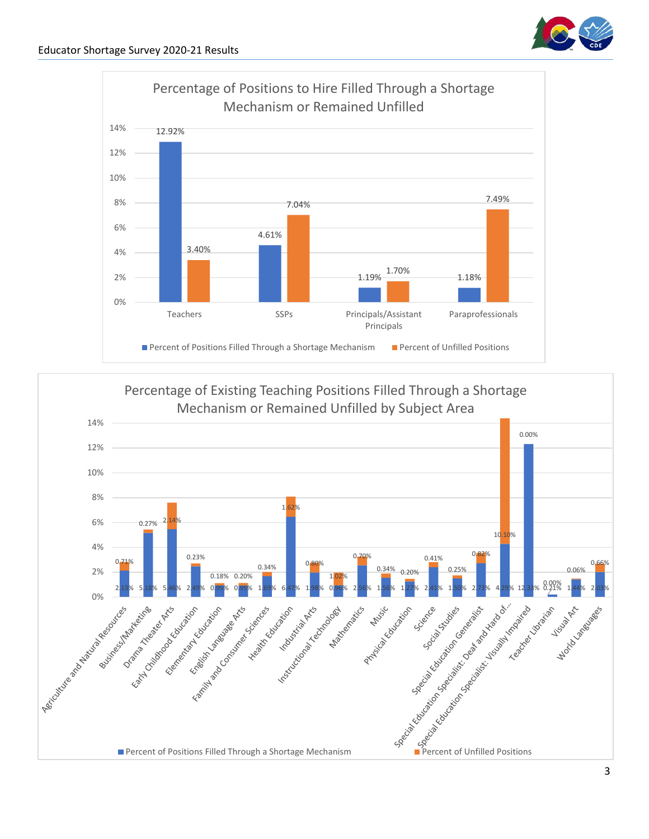



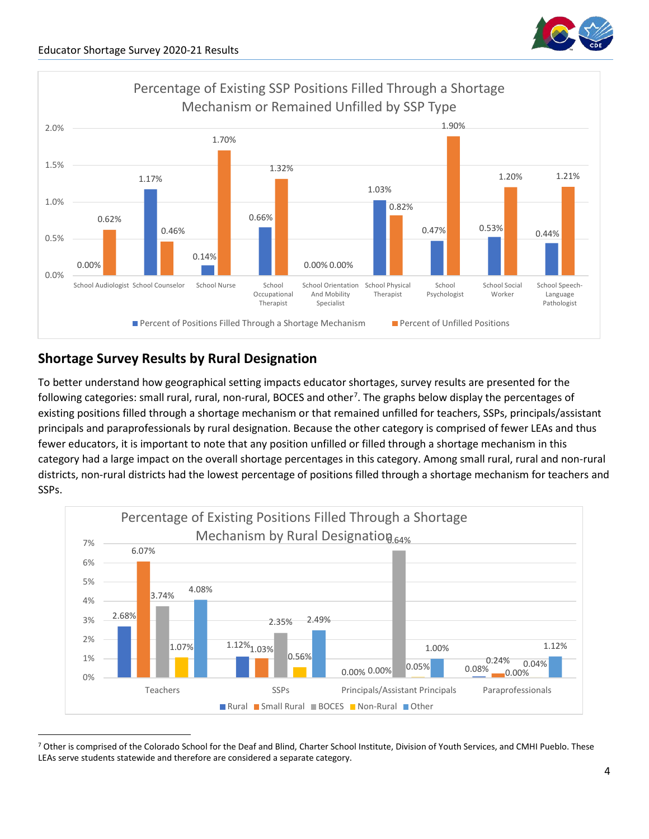



## **Shortage Survey Results by Rural Designation**

To better understand how geographical setting impacts educator shortages, survey results are presented for the following categories: small rural, rural, non-rural, BOCES and other<sup>[7](#page-3-0)</sup>. The graphs below display the percentages of existing positions filled through a shortage mechanism or that remained unfilled for teachers, SSPs, principals/assistant principals and paraprofessionals by rural designation. Because the other category is comprised of fewer LEAs and thus fewer educators, it is important to note that any position unfilled or filled through a shortage mechanism in this category had a large impact on the overall shortage percentages in this category. Among small rural, rural and non-rural districts, non-rural districts had the lowest percentage of positions filled through a shortage mechanism for teachers and SSPs.



<span id="page-3-0"></span><sup>&</sup>lt;sup>7</sup> Other is comprised of the Colorado School for the Deaf and Blind, Charter School Institute, Division of Youth Services, and CMHI Pueblo. These LEAs serve students statewide and therefore are considered a separate category.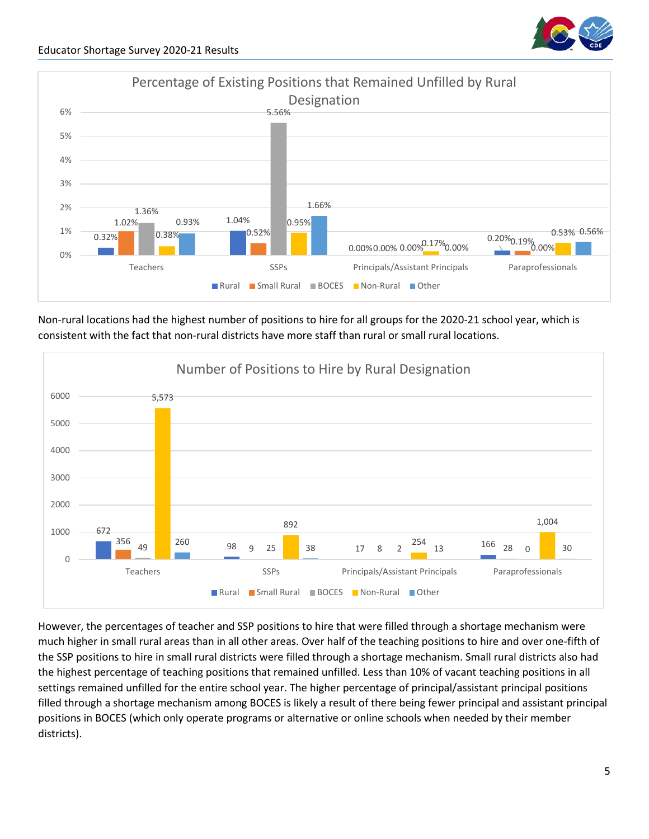

Non-rural locations had the highest number of positions to hire for all groups for the 2020-21 school year, which is consistent with the fact that non-rural districts have more staff than rural or small rural locations.



However, the percentages of teacher and SSP positions to hire that were filled through a shortage mechanism were much higher in small rural areas than in all other areas. Over half of the teaching positions to hire and over one-fifth of the SSP positions to hire in small rural districts were filled through a shortage mechanism. Small rural districts also had the highest percentage of teaching positions that remained unfilled. Less than 10% of vacant teaching positions in all settings remained unfilled for the entire school year. The higher percentage of principal/assistant principal positions filled through a shortage mechanism among BOCES is likely a result of there being fewer principal and assistant principal positions in BOCES (which only operate programs or alternative or online schools when needed by their member districts).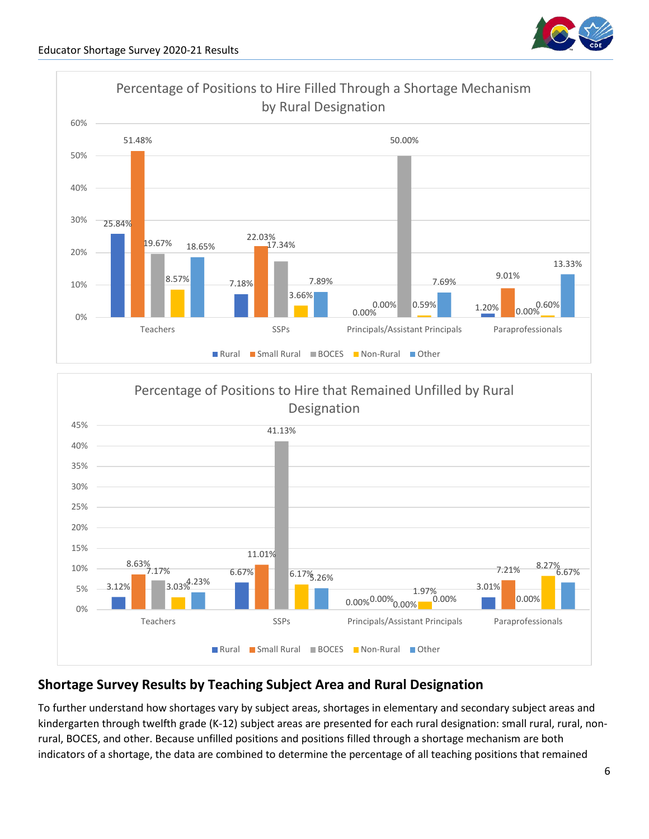



## **Shortage Survey Results by Teaching Subject Area and Rural Designation**

To further understand how shortages vary by subject areas, shortages in elementary and secondary subject areas and kindergarten through twelfth grade (K-12) subject areas are presented for each rural designation: small rural, rural, nonrural, BOCES, and other. Because unfilled positions and positions filled through a shortage mechanism are both indicators of a shortage, the data are combined to determine the percentage of all teaching positions that remained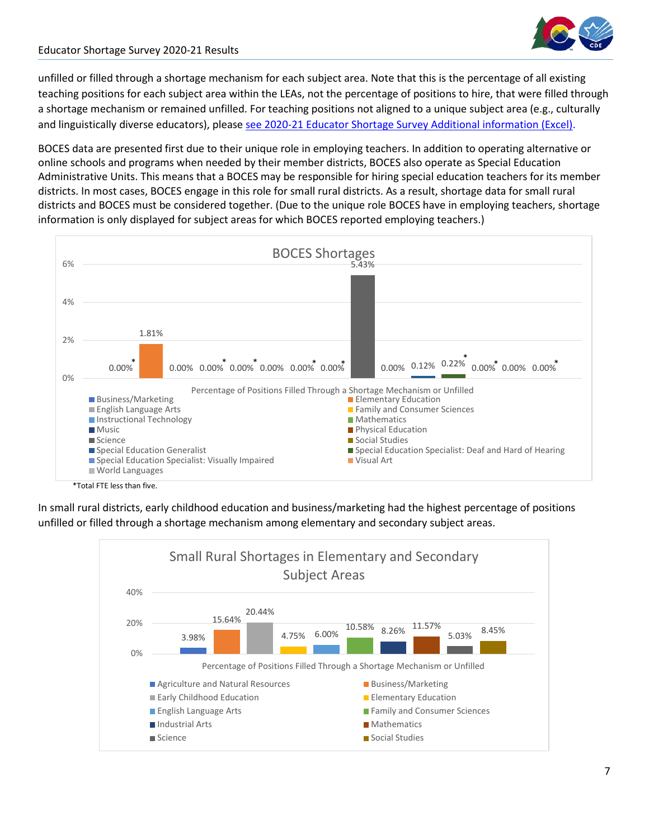

unfilled or filled through a shortage mechanism for each subject area. Note that this is the percentage of all existing teaching positions for each subject area within the LEAs, not the percentage of positions to hire, that were filled through a shortage mechanism or remained unfilled. For teaching positions not aligned to a unique subject area (e.g., culturally and linguistically diverse educators), please [see 2020-21 Educator Shortage Survey Additional information \(Excel\).](https://www.cde.state.co.us/educatortalent/2020-21educatorshortagesurveyaddlinfo)

BOCES data are presented first due to their unique role in employing teachers. In addition to operating alternative or online schools and programs when needed by their member districts, BOCES also operate as Special Education Administrative Units. This means that a BOCES may be responsible for hiring special education teachers for its member districts. In most cases, BOCES engage in this role for small rural districts. As a result, shortage data for small rural districts and BOCES must be considered together. (Due to the unique role BOCES have in employing teachers, shortage information is only displayed for subject areas for which BOCES reported employing teachers.)



In small rural districts, early childhood education and business/marketing had the highest percentage of positions unfilled or filled through a shortage mechanism among elementary and secondary subject areas.

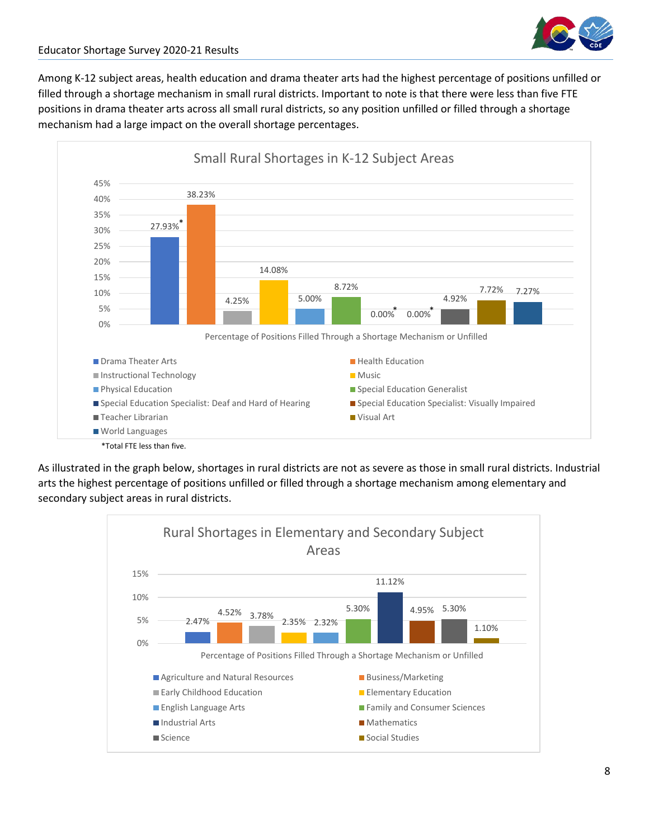

Among K-12 subject areas, health education and drama theater arts had the highest percentage of positions unfilled or filled through a shortage mechanism in small rural districts. Important to note is that there were less than five FTE positions in drama theater arts across all small rural districts, so any position unfilled or filled through a shortage mechanism had a large impact on the overall shortage percentages.



As illustrated in the graph below, shortages in rural districts are not as severe as those in small rural districts. Industrial arts the highest percentage of positions unfilled or filled through a shortage mechanism among elementary and secondary subject areas in rural districts.

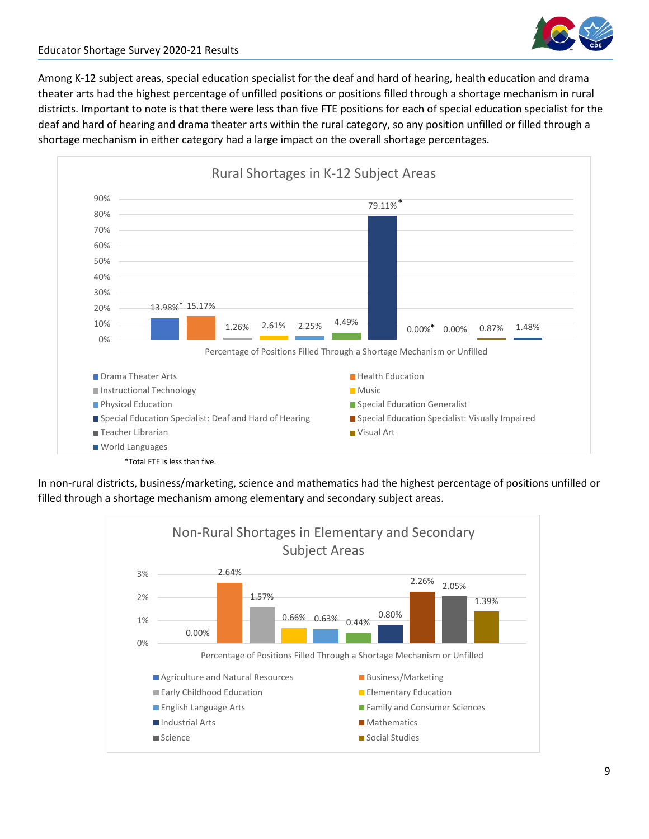

Among K-12 subject areas, special education specialist for the deaf and hard of hearing, health education and drama theater arts had the highest percentage of unfilled positions or positions filled through a shortage mechanism in rural districts. Important to note is that there were less than five FTE positions for each of special education specialist for the deaf and hard of hearing and drama theater arts within the rural category, so any position unfilled or filled through a shortage mechanism in either category had a large impact on the overall shortage percentages.



In non-rural districts, business/marketing, science and mathematics had the highest percentage of positions unfilled or filled through a shortage mechanism among elementary and secondary subject areas.

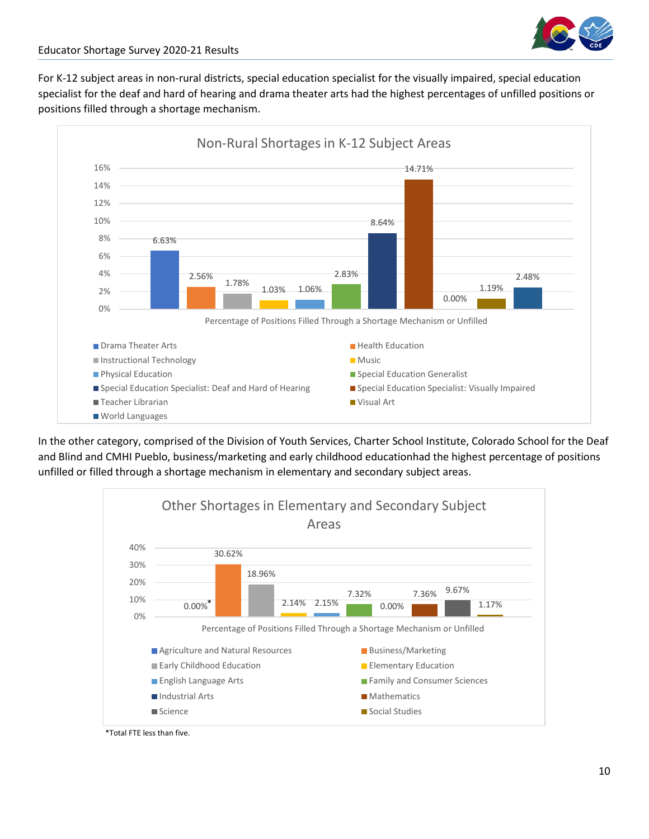

For K-12 subject areas in non-rural districts, special education specialist for the visually impaired, special education specialist for the deaf and hard of hearing and drama theater arts had the highest percentages of unfilled positions or positions filled through a shortage mechanism.



In the other category, comprised of the Division of Youth Services, Charter School Institute, Colorado School for the Deaf and Blind and CMHI Pueblo, business/marketing and early childhood educationhad the highest percentage of positions unfilled or filled through a shortage mechanism in elementary and secondary subject areas.